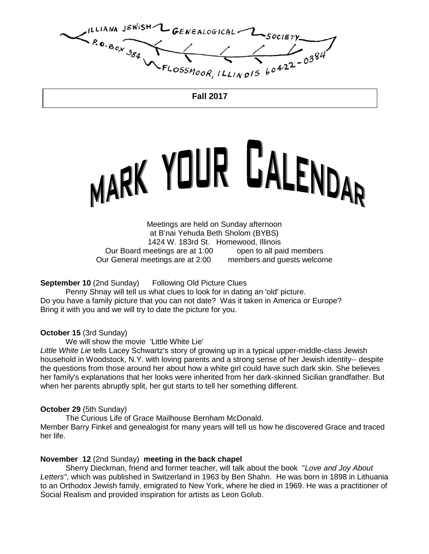ILLIANA JEWISH--GENEALOGICAL- $R_{0.80x}$ FLOSSMOOR, ILLINOIS 60422-0384

**Fall 2017**

# MARK YOUR GALENDAR

Meetings are held on Sunday afternoon at B'nai Yehuda Beth Sholom (BYBS) 1424 W. 183rd St. Homewood, Illinois Our Board meetings are at 1:00 open to all paid members Our General meetings are at 2:00 members and guests welcome

**September 10 (2nd Sunday)** Following Old Picture Clues

 Penny Shnay will tell us what clues to look for in dating an 'old' picture. Do you have a family picture that you can not date? Was it taken in America or Europe? Bring it with you and we will try to date the picture for you.

#### **October 15** (3rd Sunday)

We will show the movie 'Little White Lie'

Little White Lie tells Lacey Schwartz's story of growing up in a typical upper-middle-class Jewish household in Woodstock, N.Y. with loving parents and a strong sense of her Jewish identity-- despite the questions from those around her about how a white girl could have such dark skin. She believes her family's explanations that her looks were inherited from her dark-skinned Sicilian grandfather. But when her parents abruptly split, her gut starts to tell her something different.

#### **October 29** (5th Sunday)

The Curious Life of Grace Mailhouse Bernham McDonald.

Member Barry Finkel and genealogist for many years will tell us how he discovered Grace and traced her life.

#### **November 12** (2nd Sunday) **meeting in the back chapel**

Sherry Dieckman, friend and former teacher, will talk about the book "Love and Joy About Letters", which was published in Switzerland in 1963 by Ben Shahn. He was born in 1898 in Lithuania to an Orthodox Jewish family, emigrated to New York, where he died in 1969. He was a practitioner of Social Realism and provided inspiration for artists as Leon Golub.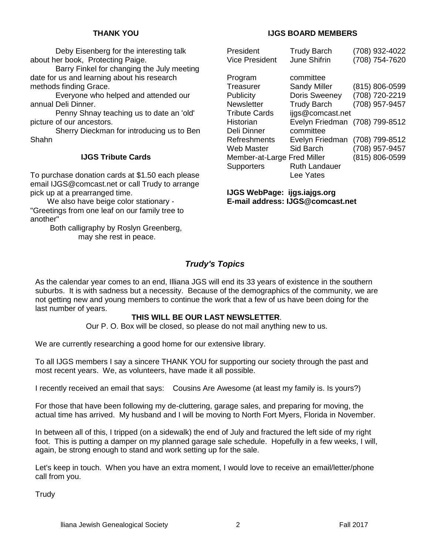#### **THANK YOU**

 Deby Eisenberg for the interesting talk about her book, Protecting Paige.

 Barry Finkel for changing the July meeting date for us and learning about his research methods finding Grace.

 Everyone who helped and attended our annual Deli Dinner.

 Penny Shnay teaching us to date an 'old' picture of our ancestors.

 Sherry Dieckman for introducing us to Ben Shahn

#### **IJGS Tribute Cards**

To purchase donation cards at \$1.50 each please email IJGS@comcast.net or call Trudy to arrange pick up at a prearranged time.

 We also have beige color stationary - "Greetings from one leaf on our family tree to another"

> Both calligraphy by Roslyn Greenberg, may she rest in peace.

#### **IJGS BOARD MEMBERS**

| President<br><b>Vice President</b> | <b>Trudy Barch</b><br><b>June Shifrin</b> | (708) 932-4022<br>(708) 754-7620 |
|------------------------------------|-------------------------------------------|----------------------------------|
| Program                            | committee                                 |                                  |
| Treasurer                          | <b>Sandy Miller</b>                       | (815) 806-0599                   |
| Publicity                          | Doris Sweeney                             | (708) 720-2219                   |
| Newsletter                         | <b>Trudy Barch</b>                        | (708) 957-9457                   |
| <b>Tribute Cards</b>               | ijgs@comcast.net                          |                                  |
| Historian                          | Evelyn Friedman                           | (708) 799-8512                   |
| Deli Dinner                        | committee                                 |                                  |
| Refreshments                       | Evelyn Friedman                           | (708) 799-8512                   |
| Web Master                         | Sid Barch                                 | (708) 957-9457                   |
| Member-at-Large Fred Miller        |                                           | (815) 806-0599                   |
| Supporters                         | <b>Ruth Landauer</b>                      |                                  |
|                                    | Lee Yates                                 |                                  |

**IJGS WebPage: ijgs.iajgs.org E-mail address: IJGS@comcast.net** 

# **Trudy's Topics**

As the calendar year comes to an end, Illiana JGS will end its 33 years of existence in the southern suburbs. It is with sadness but a necessity. Because of the demographics of the community, we are not getting new and young members to continue the work that a few of us have been doing for the last number of years.

#### **THIS WILL BE OUR LAST NEWSLETTER**.

Our P. O. Box will be closed, so please do not mail anything new to us.

We are currently researching a good home for our extensive library.

To all IJGS members I say a sincere THANK YOU for supporting our society through the past and most recent years. We, as volunteers, have made it all possible.

I recently received an email that says: Cousins Are Awesome (at least my family is. Is yours?)

For those that have been following my de-cluttering, garage sales, and preparing for moving, the actual time has arrived. My husband and I will be moving to North Fort Myers, Florida in November.

In between all of this, I tripped (on a sidewalk) the end of July and fractured the left side of my right foot. This is putting a damper on my planned garage sale schedule. Hopefully in a few weeks, I will, again, be strong enough to stand and work setting up for the sale.

Let's keep in touch. When you have an extra moment, I would love to receive an email/letter/phone call from you.

**Trudy**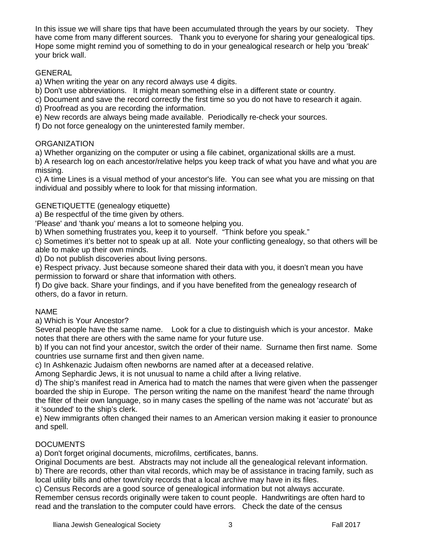In this issue we will share tips that have been accumulated through the years by our society. They have come from many different sources. Thank you to everyone for sharing your genealogical tips. Hope some might remind you of something to do in your genealogical research or help you 'break' your brick wall.

# GENERAL

a) When writing the year on any record always use 4 digits.

b) Don't use abbreviations. It might mean something else in a different state or country.

c) Document and save the record correctly the first time so you do not have to research it again.

d) Proofread as you are recording the information.

e) New records are always being made available. Periodically re-check your sources.

f) Do not force genealogy on the uninterested family member.

# **ORGANIZATION**

a) Whether organizing on the computer or using a file cabinet, organizational skills are a must.

b) A research log on each ancestor/relative helps you keep track of what you have and what you are missing.

c) A time Lines is a visual method of your ancestor's life. You can see what you are missing on that individual and possibly where to look for that missing information.

# GENETIQUETTE (genealogy etiquette)

a) Be respectful of the time given by others.

'Please' and 'thank you' means a lot to someone helping you.

b) When something frustrates you, keep it to yourself. "Think before you speak."

c) Sometimes it's better not to speak up at all. Note your conflicting genealogy, so that others will be able to make up their own minds.

d) Do not publish discoveries about living persons.

e) Respect privacy. Just because someone shared their data with you, it doesn't mean you have permission to forward or share that information with others.

f) Do give back. Share your findings, and if you have benefited from the genealogy research of others, do a favor in return.

# NAME

a) Which is Your Ancestor?

Several people have the same name. Look for a clue to distinguish which is your ancestor. Make notes that there are others with the same name for your future use.

b) If you can not find your ancestor, switch the order of their name. Surname then first name. Some countries use surname first and then given name.

c) In Ashkenazic Judaism often newborns are named after at a deceased relative.

Among Sephardic Jews, it is not unusual to name a child after a living relative.

d) The ship's manifest read in America had to match the names that were given when the passenger boarded the ship in Europe. The person writing the name on the manifest 'heard' the name through the filter of their own language, so in many cases the spelling of the name was not 'accurate' but as it 'sounded' to the ship's clerk.

e) New immigrants often changed their names to an American version making it easier to pronounce and spell.

# DOCUMENTS

a) Don't forget original documents, microfilms, certificates, banns.

Original Documents are best. Abstracts may not include all the genealogical relevant information. b) There are records, other than vital records, which may be of assistance in tracing family, such as local utility bills and other town/city records that a local archive may have in its files.

c) Census Records are a good source of genealogical information but not always accurate. Remember census records originally were taken to count people. Handwritings are often hard to read and the translation to the computer could have errors. Check the date of the census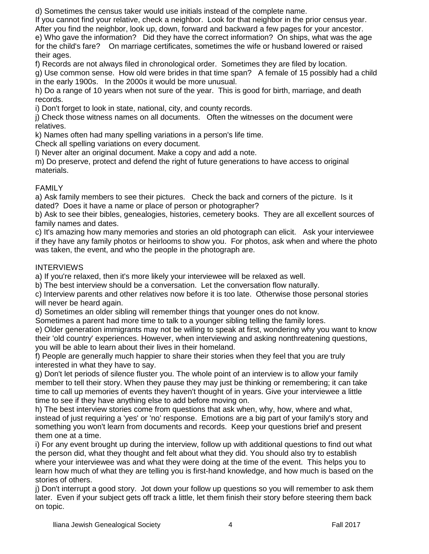d) Sometimes the census taker would use initials instead of the complete name.

If you cannot find your relative, check a neighbor. Look for that neighbor in the prior census year. After you find the neighbor, look up, down, forward and backward a few pages for your ancestor. e) Who gave the information? Did they have the correct information? On ships, what was the age for the child's fare? On marriage certificates, sometimes the wife or husband lowered or raised their ages.

f) Records are not always filed in chronological order. Sometimes they are filed by location.

g) Use common sense. How old were brides in that time span? A female of 15 possibly had a child in the early 1900s. In the 2000s it would be more unusual.

h) Do a range of 10 years when not sure of the year. This is good for birth, marriage, and death records.

i) Don't forget to look in state, national, city, and county records.

j) Check those witness names on all documents. Often the witnesses on the document were relatives.

k) Names often had many spelling variations in a person's life time.

Check all spelling variations on every document.

l) Never alter an original document. Make a copy and add a note.

m) Do preserve, protect and defend the right of future generations to have access to original materials.

# FAMILY

a) Ask family members to see their pictures. Check the back and corners of the picture. Is it dated? Does it have a name or place of person or photographer?

b) Ask to see their bibles, genealogies, histories, cemetery books. They are all excellent sources of family names and dates.

c) It's amazing how many memories and stories an old photograph can elicit. Ask your interviewee if they have any family photos or heirlooms to show you. For photos, ask when and where the photo was taken, the event, and who the people in the photograph are.

# **INTERVIEWS**

a) If you're relaxed, then it's more likely your interviewee will be relaxed as well.

b) The best interview should be a conversation. Let the conversation flow naturally.

c) Interview parents and other relatives now before it is too late. Otherwise those personal stories will never be heard again.

d) Sometimes an older sibling will remember things that younger ones do not know.

Sometimes a parent had more time to talk to a younger sibling telling the family lores.

e) Older generation immigrants may not be willing to speak at first, wondering why you want to know their 'old country' experiences. However, when interviewing and asking nonthreatening questions, you will be able to learn about their lives in their homeland.

f) People are generally much happier to share their stories when they feel that you are truly interested in what they have to say.

g) Don't let periods of silence fluster you. The whole point of an interview is to allow your family member to tell their story. When they pause they may just be thinking or remembering; it can take time to call up memories of events they haven't thought of in years. Give your interviewee a little time to see if they have anything else to add before moving on.

h) The best interview stories come from questions that ask when, why, how, where and what, instead of just requiring a 'yes' or 'no' response. Emotions are a big part of your family's story and something you won't learn from documents and records. Keep your questions brief and present them one at a time.

i) For any event brought up during the interview, follow up with additional questions to find out what the person did, what they thought and felt about what they did. You should also try to establish where your interviewee was and what they were doing at the time of the event. This helps you to learn how much of what they are telling you is first-hand knowledge, and how much is based on the stories of others.

j) Don't interrupt a good story. Jot down your follow up questions so you will remember to ask them later. Even if your subject gets off track a little, let them finish their story before steering them back on topic.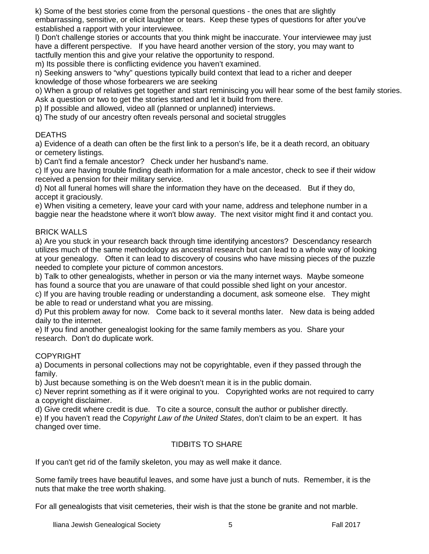k) Some of the best stories come from the personal questions - the ones that are slightly embarrassing, sensitive, or elicit laughter or tears. Keep these types of questions for after you've established a rapport with your interviewee.

l) Don't challenge stories or accounts that you think might be inaccurate. Your interviewee may just have a different perspective. If you have heard another version of the story, you may want to tactfully mention this and give your relative the opportunity to respond.

m) Its possible there is conflicting evidence you haven't examined.

n) Seeking answers to "why" questions typically build context that lead to a richer and deeper knowledge of those whose forbearers we are seeking

o) When a group of relatives get together and start reminiscing you will hear some of the best family stories. Ask a question or two to get the stories started and let it build from there.

p) If possible and allowed, video all (planned or unplanned) interviews.

q) The study of our ancestry often reveals personal and societal struggles

# DEATHS

a) Evidence of a death can often be the first link to a person's life, be it a death record, an obituary or cemetery listings.

b) Can't find a female ancestor? Check under her husband's name.

c) If you are having trouble finding death information for a male ancestor, check to see if their widow received a pension for their military service.

d) Not all funeral homes will share the information they have on the deceased. But if they do, accept it graciously.

e) When visiting a cemetery, leave your card with your name, address and telephone number in a baggie near the headstone where it won't blow away. The next visitor might find it and contact you.

# BRICK WALLS

a) Are you stuck in your research back through time identifying ancestors? Descendancy research utilizes much of the same methodology as ancestral research but can lead to a whole way of looking at your genealogy. Often it can lead to discovery of cousins who have missing pieces of the puzzle needed to complete your picture of common ancestors.

b) Talk to other genealogists, whether in person or via the many internet ways. Maybe someone has found a source that you are unaware of that could possible shed light on your ancestor.

c) If you are having trouble reading or understanding a document, ask someone else. They might be able to read or understand what you are missing.

d) Put this problem away for now. Come back to it several months later. New data is being added daily to the internet.

e) If you find another genealogist looking for the same family members as you. Share your research. Don't do duplicate work.

#### **COPYRIGHT**

a) Documents in personal collections may not be copyrightable, even if they passed through the family.

b) Just because something is on the Web doesn't mean it is in the public domain.

c) Never reprint something as if it were original to you. Copyrighted works are not required to carry a copyright disclaimer.

d) Give credit where credit is due. To cite a source, consult the author or publisher directly.

e) If you haven't read the Copyright Law of the United States, don't claim to be an expert. It has changed over time.

# TIDBITS TO SHARE

If you can't get rid of the family skeleton, you may as well make it dance.

Some family trees have beautiful leaves, and some have just a bunch of nuts. Remember, it is the nuts that make the tree worth shaking.

For all genealogists that visit cemeteries, their wish is that the stone be granite and not marble.